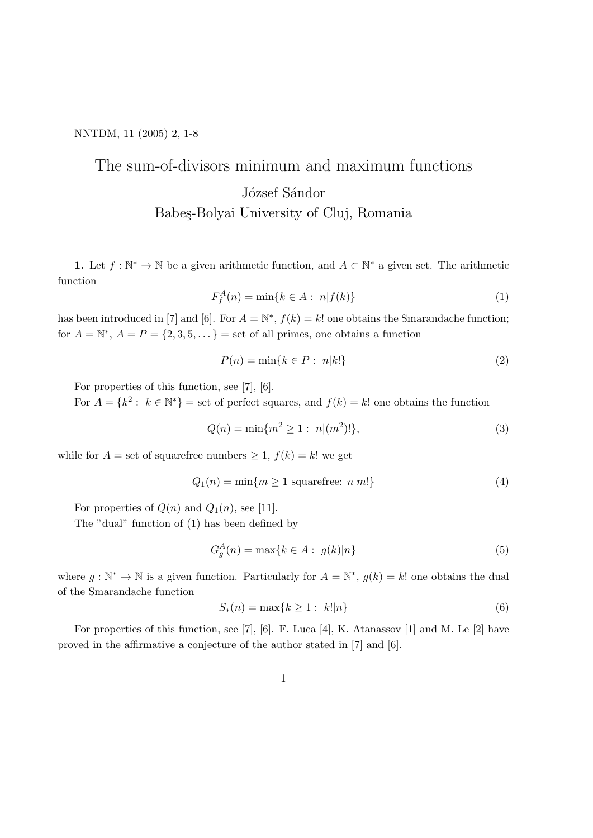## NNTDM, 11 (2005) 2, 1-8

## The sum-of-divisors minimum and maximum functions József Sándor Babeş-Bolyai University of Cluj, Romania

**1.** Let  $f : \mathbb{N}^* \to \mathbb{N}$  be a given arithmetic function, and  $A \subset \mathbb{N}^*$  a given set. The arithmetic function

$$
F_f^A(n) = \min\{k \in A : \ n|f(k)\}\tag{1}
$$

has been introduced in [7] and [6]. For  $A = \mathbb{N}^*$ ,  $f(k) = k!$  one obtains the Smarandache function; for  $A = \mathbb{N}^*, A = P = \{2, 3, 5, \dots\}$  = set of all primes, one obtains a function

$$
P(n) = \min\{k \in P : n|k!\}\tag{2}
$$

For properties of this function, see [7], [6].

For  $A = \{k^2 : k \in \mathbb{N}^*\}$  = set of perfect squares, and  $f(k) = k!$  one obtains the function

$$
Q(n) = \min\{m^2 \ge 1 : n|(m^2)!\},\tag{3}
$$

while for  $A =$  set of squarefree numbers  $\geq 1$ ,  $f(k) = k!$  we get

$$
Q_1(n) = \min\{m \ge 1 \text{ squarefree: } n|m!\}
$$
 (4)

For properties of  $Q(n)$  and  $Q_1(n)$ , see [11].

The "dual" function of (1) has been defined by

$$
G_g^A(n) = \max\{k \in A : g(k)|n\}
$$
\n
$$
(5)
$$

where  $g: \mathbb{N}^* \to \mathbb{N}$  is a given function. Particularly for  $A = \mathbb{N}^*$ ,  $g(k) = k!$  one obtains the dual of the Smarandache function

$$
S_*(n) = \max\{k \ge 1 : \ k! | n\} \tag{6}
$$

For properties of this function, see [7], [6]. F. Luca [4], K. Atanassov [1] and M. Le [2] have proved in the affirmative a conjecture of the author stated in [7] and [6].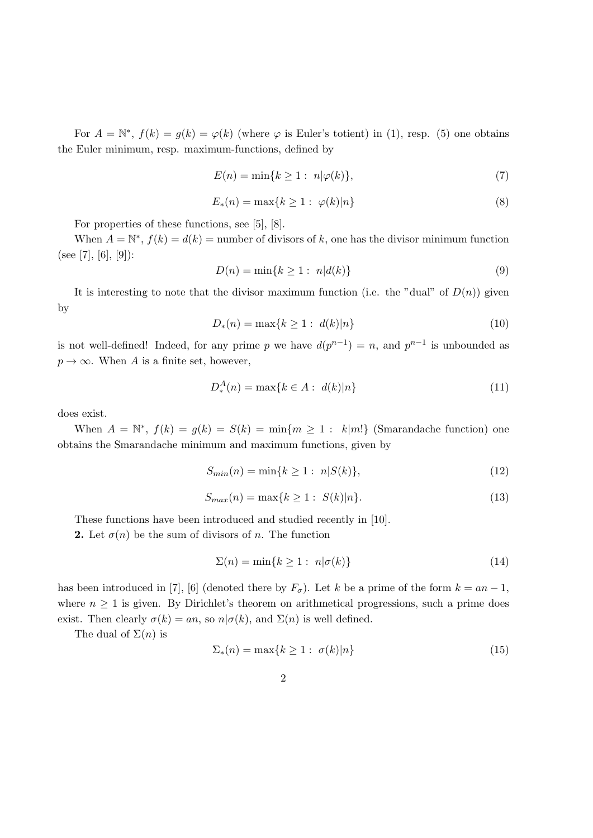For  $A = \mathbb{N}^*, f(k) = g(k) = \varphi(k)$  (where  $\varphi$  is Euler's totient) in (1), resp. (5) one obtains the Euler minimum, resp. maximum-functions, defined by

$$
E(n) = \min\{k \ge 1 : n|\varphi(k)\},\tag{7}
$$

$$
E_*(n) = \max\{k \ge 1 : \varphi(k)|n\}
$$
\n
$$
(8)
$$

For properties of these functions, see [5], [8].

When  $A = \mathbb{N}^*, f(k) = d(k)$  = number of divisors of k, one has the divisor minimum function (see [7], [6], [9]):

$$
D(n) = \min\{k \ge 1 : n | d(k) \}
$$
 (9)

It is interesting to note that the divisor maximum function (i.e. the "dual" of  $D(n)$ ) given by

$$
D_*(n) = \max\{k \ge 1 : \ d(k)|n\}
$$
\n(10)

is not well-defined! Indeed, for any prime p we have  $d(p^{n-1}) = n$ , and  $p^{n-1}$  is unbounded as  $p \to \infty$ . When A is a finite set, however,

$$
D_*^A(n) = \max\{k \in A : d(k)|n\}
$$
 (11)

does exist.

When  $A = \mathbb{N}^*, f(k) = g(k) = S(k) = \min\{m \ge 1 : k|m!\}$  (Smarandache function) one obtains the Smarandache minimum and maximum functions, given by

$$
S_{min}(n) = \min\{k \ge 1 : n|S(k)\},\tag{12}
$$

$$
S_{max}(n) = \max\{k \ge 1 : S(k)|n\}.
$$
\n(13)

These functions have been introduced and studied recently in [10].

**2.** Let  $\sigma(n)$  be the sum of divisors of n. The function

$$
\Sigma(n) = \min\{k \ge 1 : n|\sigma(k)\}\tag{14}
$$

has been introduced in [7], [6] (denoted there by  $F_{\sigma}$ ). Let k be a prime of the form  $k = an - 1$ , where  $n \geq 1$  is given. By Dirichlet's theorem on arithmetical progressions, such a prime does exist. Then clearly  $\sigma(k) = an$ , so  $n | \sigma(k)$ , and  $\Sigma(n)$  is well defined.

The dual of  $\Sigma(n)$  is

$$
\Sigma_*(n) = \max\{k \ge 1 : \sigma(k)|n\}
$$
\n(15)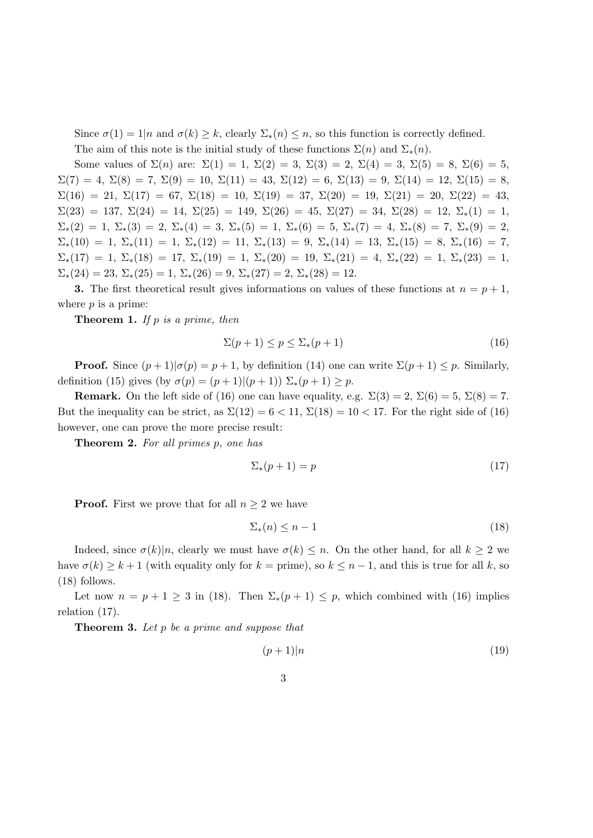Since  $\sigma(1) = 1|n$  and  $\sigma(k) \geq k$ , clearly  $\Sigma_*(n) \leq n$ , so this function is correctly defined.

The aim of this note is the initial study of these functions  $\Sigma(n)$  and  $\Sigma_*(n)$ .

Some values of  $\Sigma(n)$  are:  $\Sigma(1) = 1$ ,  $\Sigma(2) = 3$ ,  $\Sigma(3) = 2$ ,  $\Sigma(4) = 3$ ,  $\Sigma(5) = 8$ ,  $\Sigma(6) = 5$ ,  $\Sigma(7) = 4, \Sigma(8) = 7, \Sigma(9) = 10, \Sigma(11) = 43, \Sigma(12) = 6, \Sigma(13) = 9, \Sigma(14) = 12, \Sigma(15) = 8,$  $\Sigma(16) = 21, \Sigma(17) = 67, \Sigma(18) = 10, \Sigma(19) = 37, \Sigma(20) = 19, \Sigma(21) = 20, \Sigma(22) = 43,$  $\Sigma(23) = 137, \ \Sigma(24) = 14, \ \Sigma(25) = 149, \ \Sigma(26) = 45, \ \Sigma(27) = 34, \ \Sigma(28) = 12, \ \Sigma_*(1) = 1,$  $\Sigma_*(2) = 1, \Sigma_*(3) = 2, \Sigma_*(4) = 3, \Sigma_*(5) = 1, \Sigma_*(6) = 5, \Sigma_*(7) = 4, \Sigma_*(8) = 7, \Sigma_*(9) = 2,$  $\Sigma_*(10) = 1, \Sigma_*(11) = 1, \Sigma_*(12) = 11, \Sigma_*(13) = 9, \Sigma_*(14) = 13, \Sigma_*(15) = 8, \Sigma_*(16) = 7,$  $\Sigma_*(17) = 1, \Sigma_*(18) = 17, \Sigma_*(19) = 1, \Sigma_*(20) = 19, \Sigma_*(21) = 4, \Sigma_*(22) = 1, \Sigma_*(23) = 1,$  $\Sigma_*(24) = 23, \Sigma_*(25) = 1, \Sigma_*(26) = 9, \Sigma_*(27) = 2, \Sigma_*(28) = 12.$ 

3. The first theoretical result gives informations on values of these functions at  $n = p + 1$ , where  $p$  is a prime:

**Theorem 1.** If  $p$  is a prime, then

$$
\Sigma(p+1) \le p \le \Sigma_*(p+1) \tag{16}
$$

**Proof.** Since  $(p+1)|\sigma(p) = p+1$ , by definition (14) one can write  $\Sigma(p+1) \leq p$ . Similarly, definition (15) gives (by  $\sigma(p) = (p+1)|(p+1) \sum_{*}(p+1) \geq p$ .

**Remark.** On the left side of (16) one can have equality, e.g.  $\Sigma(3) = 2$ ,  $\Sigma(6) = 5$ ,  $\Sigma(8) = 7$ . But the inequality can be strict, as  $\Sigma(12) = 6 < 11$ ,  $\Sigma(18) = 10 < 17$ . For the right side of (16) however, one can prove the more precise result:

Theorem 2. For all primes p, one has

$$
\Sigma_*(p+1) = p \tag{17}
$$

**Proof.** First we prove that for all  $n \geq 2$  we have

$$
\Sigma_*(n) \le n - 1 \tag{18}
$$

Indeed, since  $\sigma(k)|n$ , clearly we must have  $\sigma(k) \leq n$ . On the other hand, for all  $k \geq 2$  we have  $\sigma(k) \geq k+1$  (with equality only for  $k = \text{prime}$ ), so  $k \leq n-1$ , and this is true for all k, so (18) follows.

Let now  $n = p + 1 \ge 3$  in (18). Then  $\Sigma_*(p+1) \le p$ , which combined with (16) implies relation (17).

Theorem 3. Let p be a prime and suppose that

$$
(p+1)|n \tag{19}
$$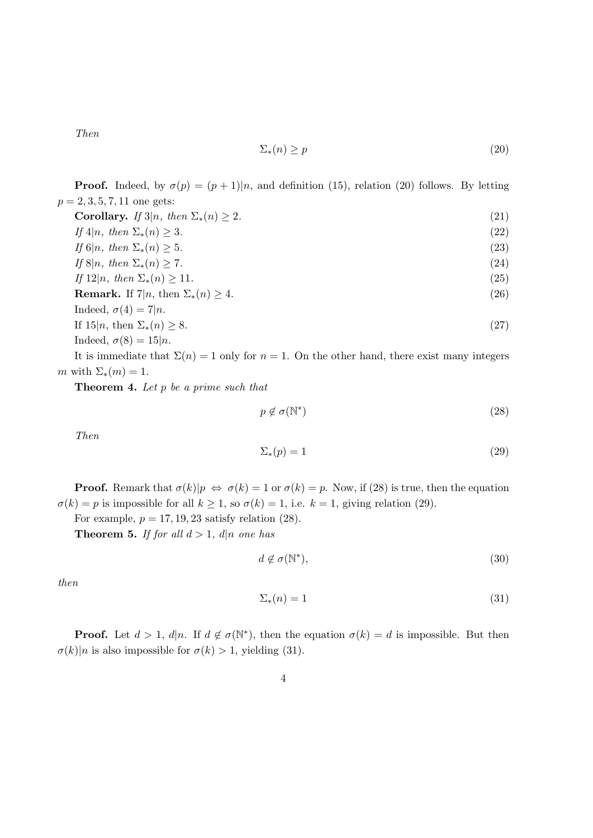Then

$$
\Sigma_*(n) \ge p \tag{20}
$$

**Proof.** Indeed, by  $\sigma(p) = (p+1)|n$ , and definition (15), relation (20) follows. By letting  $p = 2, 3, 5, 7, 11$  one gets:

Corollary. If  $3|n$ , then  $\Sigma_*(n) \geq 2$ . (21) If  $4|n, \text{ then } \Sigma_*(n) \geq 3.$  (22) If  $6|n, \text{ then } \Sigma_*(n) \geq 5.$  (23) If  $8|n, \text{ then } \Sigma_*(n) \ge 7.$  (24) If  $12|n$ , then  $\Sigma_*(n) \ge 11$ . (25) **Remark.** If  $7|n$ , then  $\Sigma_*(n) \ge 4$ . (26) Indeed,  $\sigma(4) = 7|n$ . If  $15|n$ , then  $\Sigma_*(n) \geq 8$ . (27) Indeed,  $\sigma(8) = 15|n$ .

It is immediate that  $\Sigma(n) = 1$  only for  $n = 1$ . On the other hand, there exist many integers m with  $\Sigma_*(m) = 1$ .

**Theorem 4.** Let  $p$  be a prime such that

$$
p \notin \sigma(\mathbb{N}^*) \tag{28}
$$

Then

$$
\Sigma_*(p) = 1\tag{29}
$$

**Proof.** Remark that  $\sigma(k)|p \Leftrightarrow \sigma(k) = 1$  or  $\sigma(k) = p$ . Now, if (28) is true, then the equation  $\sigma(k) = p$  is impossible for all  $k \geq 1$ , so  $\sigma(k) = 1$ , i.e.  $k = 1$ , giving relation (29).

For example,  $p = 17, 19, 23$  satisfy relation (28).

**Theorem 5.** If for all  $d > 1$ ,  $d|n$  one has

$$
d \notin \sigma(\mathbb{N}^*),\tag{30}
$$

then

$$
\Sigma_*(n) = 1\tag{31}
$$

**Proof.** Let  $d > 1$ ,  $d|n$ . If  $d \notin \sigma(\mathbb{N}^*)$ , then the equation  $\sigma(k) = d$  is impossible. But then  $\sigma(k)|n$  is also impossible for  $\sigma(k) > 1$ , yielding (31).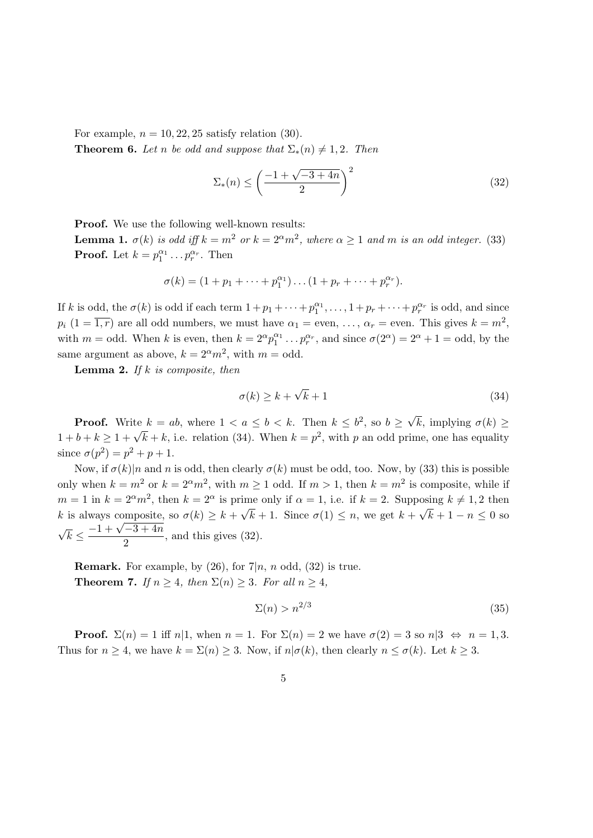For example,  $n = 10, 22, 25$  satisfy relation (30).

**Theorem 6.** Let n be odd and suppose that  $\Sigma_*(n) \neq 1, 2$ . Then

$$
\Sigma_*(n) \le \left(\frac{-1 + \sqrt{-3 + 4n}}{2}\right)^2\tag{32}
$$

Proof. We use the following well-known results:

**Lemma 1.**  $\sigma(k)$  is odd iff  $k = m^2$  or  $k = 2^{\alpha}m^2$ , where  $\alpha \ge 1$  and m is an odd integer. (33) **Proof.** Let  $k = p_1^{\alpha_1} \dots p_r^{\alpha_r}$ . Then

$$
\sigma(k) = (1 + p_1 + \dots + p_1^{\alpha_1}) \dots (1 + p_r + \dots + p_r^{\alpha_r}).
$$

If k is odd, the  $\sigma(k)$  is odd if each term  $1+p_1+\cdots+p_1^{\alpha_1},\ldots,1+p_r+\cdots+p_r^{\alpha_r}$  is odd, and since  $p_i$   $(1 = \overline{1, r})$  are all odd numbers, we must have  $\alpha_1 =$  even, ...,  $\alpha_r =$  even. This gives  $k = m^2$ , with  $m =$  odd. When k is even, then  $k = 2^{\alpha} p_1^{\alpha_1} \dots p_r^{\alpha_r}$ , and since  $\sigma(2^{\alpha}) = 2^{\alpha} + 1 =$  odd, by the same argument as above,  $k = 2^{\alpha}m^2$ , with  $m = \text{odd}$ .

**Lemma 2.** If  $k$  is composite, then

$$
\sigma(k) \ge k + \sqrt{k} + 1\tag{34}
$$

**Proof.** Write  $k = ab$ , where  $1 < a \leq b < k$ . Then  $k \leq b^2$ , so  $b \geq$ √ k, implying  $\sigma(k) \geq$ 1 1 ison. Write  $k = w$ , where  $1 \leq w \leq b \leq k$ . Then  $k \leq v$ , so  $v \leq v \kappa$ , implying  $v(\kappa) \leq 1 + b + k \geq 1 + \sqrt{k} + k$ , i.e. relation (34). When  $k = p^2$ , with p an odd prime, one has equality since  $\sigma(p^2) = p^2 + p + 1$ .

Now, if  $\sigma(k)$ |n and n is odd, then clearly  $\sigma(k)$  must be odd, too. Now, by (33) this is possible only when  $k = m^2$  or  $k = 2^{\alpha}m^2$ , with  $m \ge 1$  odd. If  $m > 1$ , then  $k = m^2$  is composite, while if  $m = 1$  in  $k = 2^{\alpha}m^2$ , then  $k = 2^{\alpha}$  is prime only if  $\alpha = 1$ , i.e. if  $k = 2$ . Supposing  $k \neq 1, 2$  then k is always composite, so  $\sigma(k) \geq k +$ √  $k + 1$ . Since  $\sigma(1) \leq n$ , we get  $k +$ ™<br>′  $k+1-n \leq 0$  so √ is always composite.<br> $\overline{k} \leq \frac{-1 + \sqrt{-3 + 4n}}{2}$  $\frac{3}{2}$ , and this gives (32).

**Remark.** For example, by  $(26)$ , for  $7|n, n$  odd,  $(32)$  is true. **Theorem 7.** If  $n \geq 4$ , then  $\Sigma(n) \geq 3$ . For all  $n \geq 4$ ,

$$
\Sigma(n) > n^{2/3} \tag{35}
$$

**Proof.**  $\Sigma(n) = 1$  iff  $n|1$ , when  $n = 1$ . For  $\Sigma(n) = 2$  we have  $\sigma(2) = 3$  so  $n|3 \Leftrightarrow n = 1, 3$ . Thus for  $n \geq 4$ , we have  $k = \Sigma(n) \geq 3$ . Now, if  $n | \sigma(k)$ , then clearly  $n \leq \sigma(k)$ . Let  $k \geq 3$ .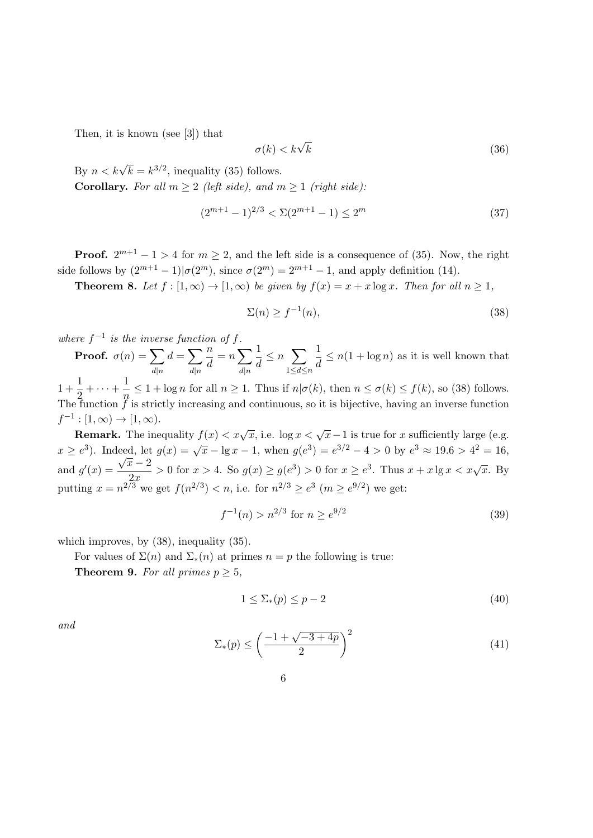Then, it is known (see [3]) that

$$
\sigma(k) < k\sqrt{k} \tag{36}
$$

By  $n < k\sqrt{k} = k^{3/2}$ , inequality (35) follows. Corollary. For all  $m \geq 2$  (left side), and  $m \geq 1$  (right side):

$$
(2^{m+1} - 1)^{2/3} < \Sigma (2^{m+1} - 1) \le 2^m \tag{37}
$$

**Proof.**  $2^{m+1} - 1 > 4$  for  $m \ge 2$ , and the left side is a consequence of (35). Now, the right side follows by  $(2^{m+1}-1)|\sigma(2^m)$ , since  $\sigma(2^m)=2^{m+1}-1$ , and apply definition (14).

**Theorem 8.** Let  $f : [1, \infty) \to [1, \infty)$  be given by  $f(x) = x + x \log x$ . Then for all  $n \ge 1$ ,

$$
\Sigma(n) \ge f^{-1}(n),\tag{38}
$$

where  $f^{-1}$ is the inverse function of f.

**Proof.**  $\sigma(n) = \sum$  $d|n$  $d=\sum$  $d|n$ n  $\frac{n}{d} = n \sum_{n}$  $d|n$ 1  $\frac{1}{d} \leq n \sum_{1 \leq k \leq n}$  $1\leq d\leq n$ 1  $\frac{1}{d} \leq n(1 + \log n)$  as it is well known that

 $1 + \frac{1}{2}$  $\frac{1}{2} + \cdots + \frac{1}{n}$  $\frac{1}{n} \leq 1 + \log n$  for all  $n \geq 1$ . Thus if  $n | \sigma(k)$ , then  $n \leq \sigma(k) \leq f(k)$ , so (38) follows. The function  $\tilde{f}$  is strictly increasing and continuous, so it is bijective, having an inverse function  $f^{-1}:[1,\infty)\to[1,\infty).$ 

Remark. The inequality  $f(x) < x\sqrt{x}$ , i.e.  $\log x < \sqrt{x} - 1$  is true for x sufficiently large (e.g.  $x \ge e^{3}$ ). Indeed, let  $g(x) = \sqrt{x} - \lg x - 1$ , when  $g(e^{3}) = e^{3/2} - 4 > 0$  by  $e^{3} \approx 19.6 > 4^{2} = 16$ , and  $g'(x) =$ eea, iet $\sqrt{x}-2$  $\frac{\bar{x} - 2}{2x} > 0$  for  $x > 4$ . So  $g(x) \ge g(e^3) > 0$  for  $x \ge e^3$ . Thus  $x + x \lg x < x\sqrt{x}$ . By putting  $x = n^{2/3}$  we get  $f(n^{2/3}) < n$ , i.e. for  $n^{2/3} \ge e^{3}$   $(m \ge e^{9/2})$  we get:

$$
f^{-1}(n) > n^{2/3} \text{ for } n \ge e^{9/2} \tag{39}
$$

which improves, by (38), inequality (35).

For values of  $\Sigma(n)$  and  $\Sigma_*(n)$  at primes  $n = p$  the following is true:

**Theorem 9.** For all primes  $p > 5$ ,

$$
1 \le \sum_{*}(p) \le p-2 \tag{40}
$$

and

$$
\Sigma_*(p) \le \left(\frac{-1 + \sqrt{-3 + 4p}}{2}\right)^2\tag{41}
$$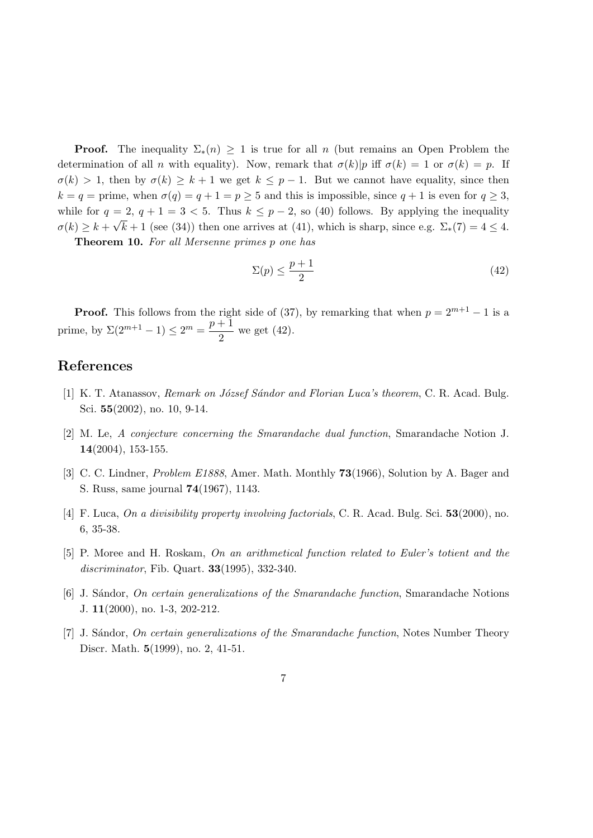**Proof.** The inequality  $\Sigma_*(n) \geq 1$  is true for all n (but remains an Open Problem the determination of all n with equality). Now, remark that  $\sigma(k)p$  iff  $\sigma(k) = 1$  or  $\sigma(k) = p$ . If  $\sigma(k) > 1$ , then by  $\sigma(k) \geq k+1$  we get  $k \leq p-1$ . But we cannot have equality, since then  $k = q =$  prime, when  $\sigma(q) = q + 1 = p \ge 5$  and this is impossible, since  $q + 1$  is even for  $q \ge 3$ , while for  $q = 2$ ,  $q + 1 = 3 < 5$ . Thus  $k \leq p - 2$ , so (40) follows. By applying the inequality  $\sigma(k) \geq k + \sqrt{k+1}$  (see (34)) then one arrives at (41), which is sharp, since e.g.  $\Sigma_*(7) = 4 \leq 4$ .

Theorem 10. For all Mersenne primes p one has

$$
\Sigma(p) \le \frac{p+1}{2} \tag{42}
$$

**Proof.** This follows from the right side of (37), by remarking that when  $p = 2^{m+1} - 1$  is a prime, by  $\Sigma(2^{m+1}-1) \leq 2^m = \frac{p+1}{2}$  $\frac{1}{2}$  we get (42).

## References

- [1] K. T. Atanassov, *Remark on József Sándor and Florian Luca's theorem*, C. R. Acad. Bulg. Sci. 55(2002), no. 10, 9-14.
- [2] M. Le, A conjecture concerning the Smarandache dual function, Smarandache Notion J. 14(2004), 153-155.
- [3] C. C. Lindner, *Problem E1888*, Amer. Math. Monthly **73**(1966), Solution by A. Bager and S. Russ, same journal 74(1967), 1143.
- [4] F. Luca, On a divisibility property involving factorials, C. R. Acad. Bulg. Sci. 53(2000), no. 6, 35-38.
- [5] P. Moree and H. Roskam, On an arithmetical function related to Euler's totient and the discriminator, Fib. Quart. 33(1995), 332-340.
- [6] J. S´andor, On certain generalizations of the Smarandache function, Smarandache Notions J. 11(2000), no. 1-3, 202-212.
- [7] J. Sándor, On certain generalizations of the Smarandache function, Notes Number Theory Discr. Math. 5(1999), no. 2, 41-51.